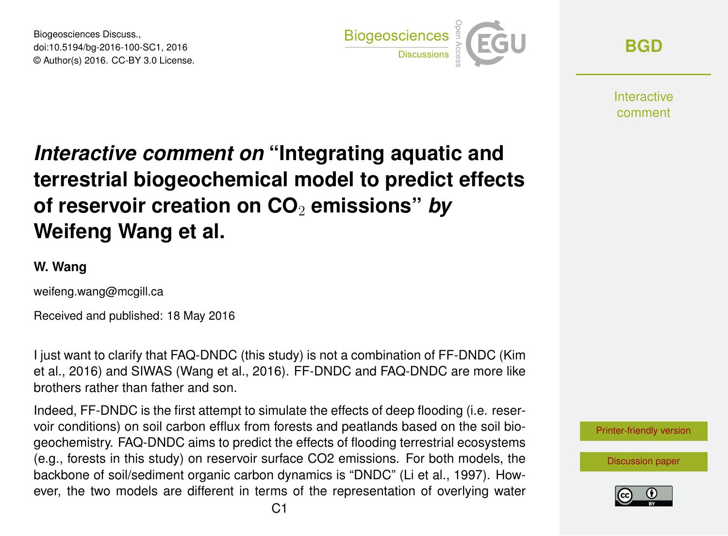Biogeosciences Discuss., doi:10.5194/bg-2016-100-SC1, 2016 © Author(s) 2016. CC-BY 3.0 License.



**[BGD](http://www.biogeosciences-discuss.net/)**

**Interactive** comment

## *Interactive comment on* **"Integrating aquatic and terrestrial biogeochemical model to predict effects of reservoir creation on CO**<sup>2</sup> **emissions"** *by* **Weifeng Wang et al.**

## **W. Wang**

weifeng.wang@mcgill.ca

Received and published: 18 May 2016

I just want to clarify that FAQ-DNDC (this study) is not a combination of FF-DNDC (Kim et al., 2016) and SIWAS (Wang et al., 2016). FF-DNDC and FAQ-DNDC are more like brothers rather than father and son.

Indeed, FF-DNDC is the first attempt to simulate the effects of deep flooding (i.e. reservoir conditions) on soil carbon efflux from forests and peatlands based on the soil biogeochemistry. FAQ-DNDC aims to predict the effects of flooding terrestrial ecosystems (e.g., forests in this study) on reservoir surface CO2 emissions. For both models, the backbone of soil/sediment organic carbon dynamics is "DNDC" (Li et al., 1997). However, the two models are different in terms of the representation of overlying water



[Discussion paper](http://www.biogeosciences-discuss.net/bg-2016-100)

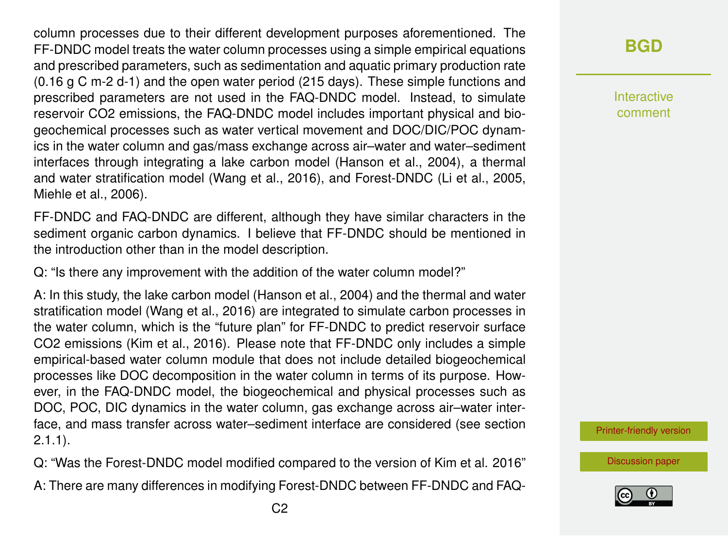column processes due to their different development purposes aforementioned. The FF-DNDC model treats the water column processes using a simple empirical equations and prescribed parameters, such as sedimentation and aquatic primary production rate (0.16 g C m-2 d-1) and the open water period (215 days). These simple functions and prescribed parameters are not used in the FAQ-DNDC model. Instead, to simulate reservoir CO2 emissions, the FAQ-DNDC model includes important physical and biogeochemical processes such as water vertical movement and DOC/DIC/POC dynamics in the water column and gas/mass exchange across air–water and water–sediment interfaces through integrating a lake carbon model (Hanson et al., 2004), a thermal and water stratification model (Wang et al., 2016), and Forest-DNDC (Li et al., 2005, Miehle et al., 2006).

FF-DNDC and FAQ-DNDC are different, although they have similar characters in the sediment organic carbon dynamics. I believe that FF-DNDC should be mentioned in the introduction other than in the model description.

Q: "Is there any improvement with the addition of the water column model?"

A: In this study, the lake carbon model (Hanson et al., 2004) and the thermal and water stratification model (Wang et al., 2016) are integrated to simulate carbon processes in the water column, which is the "future plan" for FF-DNDC to predict reservoir surface CO2 emissions (Kim et al., 2016). Please note that FF-DNDC only includes a simple empirical-based water column module that does not include detailed biogeochemical processes like DOC decomposition in the water column in terms of its purpose. However, in the FAQ-DNDC model, the biogeochemical and physical processes such as DOC, POC, DIC dynamics in the water column, gas exchange across air–water interface, and mass transfer across water–sediment interface are considered (see section 2.1.1).

Q: "Was the Forest-DNDC model modified compared to the version of Kim et al. 2016"

A: There are many differences in modifying Forest-DNDC between FF-DNDC and FAQ-

## **[BGD](http://www.biogeosciences-discuss.net/)**

Interactive comment

[Printer-friendly version](http://www.biogeosciences-discuss.net/bg-2016-100/bg-2016-100-SC1-print.pdf)

[Discussion paper](http://www.biogeosciences-discuss.net/bg-2016-100)